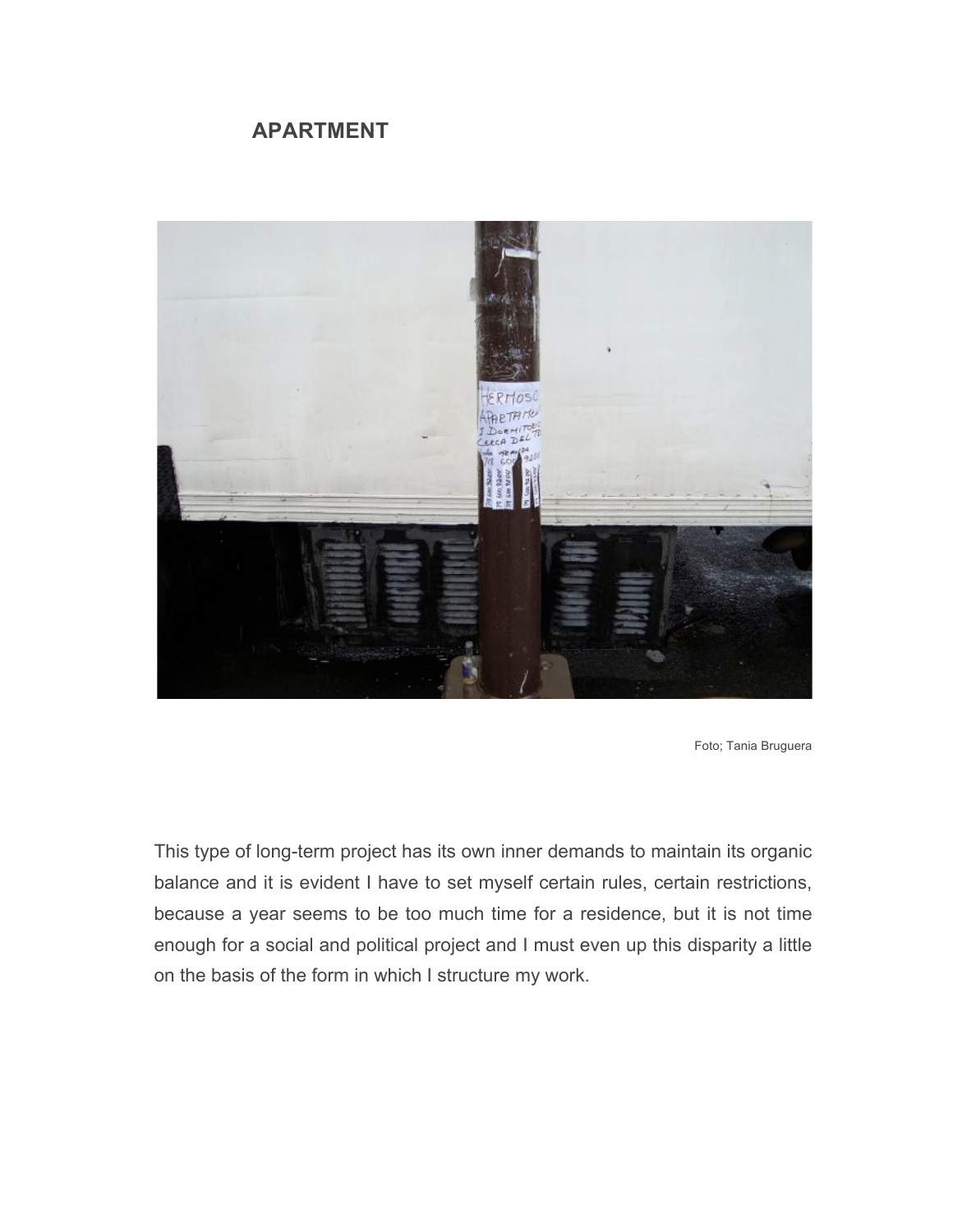## **APARTMENT**



Foto; Tania Bruguera

This type of long-term project has its own inner demands to maintain its organic balance and it is evident I have to set myself certain rules, certain restrictions, because a year seems to be too much time for a residence, but it is not time enough for a social and political project and I must even up this disparity a little on the basis of the form in which I structure my work.